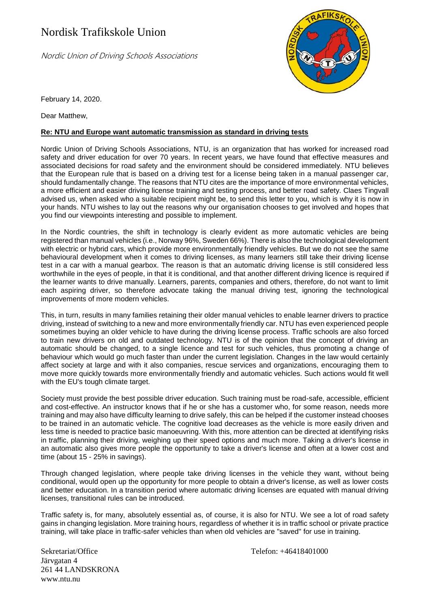## Nordisk Trafikskole Union

Nordic Union of Driving Schools Associations



February 14, 2020.

Dear Matthew,

## **Re: NTU and Europe want automatic transmission as standard in driving tests**

Nordic Union of Driving Schools Associations, NTU, is an organization that has worked for increased road safety and driver education for over 70 years. In recent years, we have found that effective measures and associated decisions for road safety and the environment should be considered immediately. NTU believes that the European rule that is based on a driving test for a license being taken in a manual passenger car, should fundamentally change. The reasons that NTU cites are the importance of more environmental vehicles, a more efficient and easier driving license training and testing process, and better road safety. Claes Tingvall advised us, when asked who a suitable recipient might be, to send this letter to you, which is why it is now in your hands. NTU wishes to lay out the reasons why our organisation chooses to get involved and hopes that you find our viewpoints interesting and possible to implement.

In the Nordic countries, the shift in technology is clearly evident as more automatic vehicles are being registered than manual vehicles (i.e., Norway 96%, Sweden 66%). There is also the technological development with electric or hybrid cars, which provide more environmentally friendly vehicles. But we do not see the same behavioural development when it comes to driving licenses, as many learners still take their driving license test in a car with a manual gearbox. The reason is that an automatic driving license is still considered less worthwhile in the eyes of people, in that it is conditional, and that another different driving licence is required if the learner wants to drive manually. Learners, parents, companies and others, therefore, do not want to limit each aspiring driver, so therefore advocate taking the manual driving test, ignoring the technological improvements of more modern vehicles.

This, in turn, results in many families retaining their older manual vehicles to enable learner drivers to practice driving, instead of switching to a new and more environmentally friendly car. NTU has even experienced people sometimes buying an older vehicle to have during the driving license process. Traffic schools are also forced to train new drivers on old and outdated technology. NTU is of the opinion that the concept of driving an automatic should be changed, to a single licence and test for such vehicles, thus promoting a change of behaviour which would go much faster than under the current legislation. Changes in the law would certainly affect society at large and with it also companies, rescue services and organizations, encouraging them to move more quickly towards more environmentally friendly and automatic vehicles. Such actions would fit well with the EU's tough climate target.

Society must provide the best possible driver education. Such training must be road-safe, accessible, efficient and cost-effective. An instructor knows that if he or she has a customer who, for some reason, needs more training and may also have difficulty learning to drive safely, this can be helped if the customer instead chooses to be trained in an automatic vehicle. The cognitive load decreases as the vehicle is more easily driven and less time is needed to practice basic manoeuvring. With this, more attention can be directed at identifying risks in traffic, planning their driving, weighing up their speed options and much more. Taking a driver's license in an automatic also gives more people the opportunity to take a driver's license and often at a lower cost and time (about 15 - 25% in savings).

Through changed legislation, where people take driving licenses in the vehicle they want, without being conditional, would open up the opportunity for more people to obtain a driver's license, as well as lower costs and better education. In a transition period where automatic driving licenses are equated with manual driving licenses, transitional rules can be introduced.

Traffic safety is, for many, absolutely essential as, of course, it is also for NTU. We see a lot of road safety gains in changing legislation. More training hours, regardless of whether it is in traffic school or private practice training, will take place in traffic-safer vehicles than when old vehicles are "saved" for use in training.

Sekretariat/Office Telefon: +46418401000 Järvgatan 4 261 44 LANDSKRONA www.ntu.nu